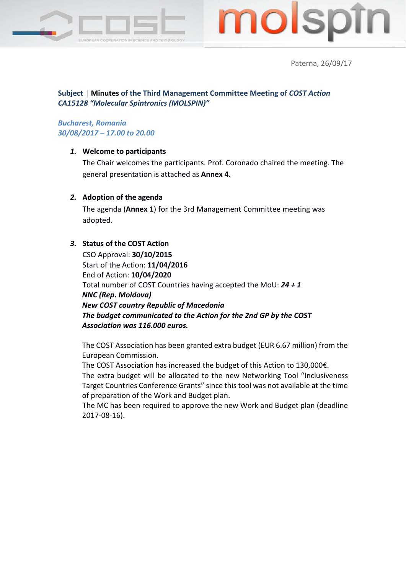



Paterna, 26/09/17

## **Subject │ Minutes of the Third Management Committee Meeting of** *COST Action CA15128 "Molecular Spintronics (MOLSPIN)"*

### *Bucharest, Romania 30/08/2017 – 17.00 to 20.00*

#### *1.* **Welcome to participants**

The Chair welcomes the participants. Prof. Coronado chaired the meeting. The general presentation is attached as **Annex 4.**

#### *2.* **Adoption of the agenda**

The agenda (**Annex 1**) for the 3rd Management Committee meeting was adopted.

#### *3.* **Status of the COST Action**

CSO Approval: **30/10/2015**  Start of the Action: **11/04/2016**  End of Action: **10/04/2020** Total number of COST Countries having accepted the MoU: *24 + 1 NNC (Rep. Moldova) New COST country Republic of Macedonia The budget communicated to the Action for the 2nd GP by the COST Association was 116.000 euros.*

The COST Association has been granted extra budget (EUR 6.67 million) from the European Commission.

The COST Association has increased the budget of this Action to 130,000€.

The extra budget will be allocated to the new Networking Tool "Inclusiveness Target Countries Conference Grants" since this tool was not available at the time of preparation of the Work and Budget plan.

The MC has been required to approve the new Work and Budget plan (deadline 2017-08-16).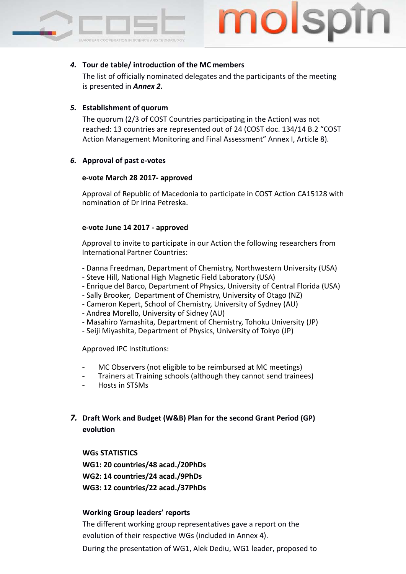### *4.* **Tour de table/ introduction of the MC members**

The list of officially nominated delegates and the participants of the meeting is presented in *Annex 2.*

#### *5.* **Establishment of quorum**

The quorum (2/3 of COST Countries participating in the Action) was not reached: 13 countries are represented out of 24 (COST doc. 134/14 B.2 "COST Action Management Monitoring and Final Assessment" Annex I, Article 8).

#### *6.* **Approval of past e-votes**

#### **e-vote March 28 2017- approved**

Approval of Republic of Macedonia to participate in COST Action CA15128 with nomination of Dr Irina Petreska.

#### **e-vote June 14 2017 - approved**

Approval to invite to participate in our Action the following researchers from International Partner Countries:

- Danna Freedman, Department of Chemistry, Northwestern University (USA)
- Steve Hill, National High Magnetic Field Laboratory (USA)
- Enrique del Barco, Department of Physics, University of Central Florida (USA)
- Sally Brooker, Department of Chemistry, University of Otago (NZ)
- Cameron Kepert, School of Chemistry, University of Sydney (AU)
- Andrea Morello, University of Sidney (AU)
- Masahiro Yamashita, Department of Chemistry, Tohoku University (JP)
- Seiji Miyashita, Department of Physics, University of Tokyo (JP)

Approved IPC Institutions:

- MC Observers (not eligible to be reimbursed at MC meetings)
- Trainers at Training schools (although they cannot send trainees)
- Hosts in STSMs
- *7.* **Draft Work and Budget (W&B) Plan for the second Grant Period (GP) evolution**

**WGs STATISTICS**

**WG1: 20 countries/48 acad./20PhDs**

**WG2: 14 countries/24 acad./9PhDs**

**WG3: 12 countries/22 acad./37PhDs** 

### **Working Group leaders' reports**

The different working group representatives gave a report on the evolution of their respective WGs (included in Annex 4). During the presentation of WG1, Alek Dediu, WG1 leader, proposed to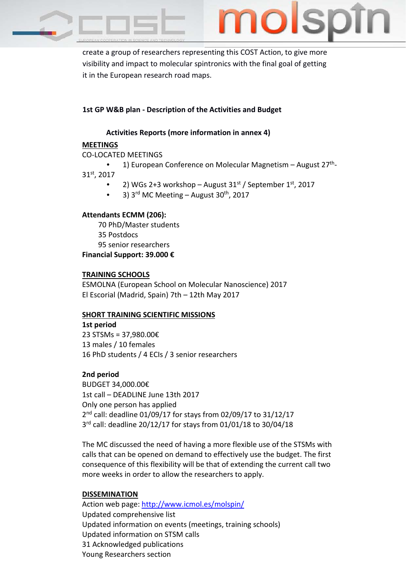

create a group of researchers representing this COST Action, to give more visibility and impact to molecular spintronics with the final goal of getting it in the European research road maps.

### **1st GP W&B plan - Description of the Activities and Budget**

### **Activities Reports (more information in annex 4)**

#### **MEETINGS**

CO-LOCATED MEETINGS

1) European Conference on Molecular Magnetism – August  $27<sup>th</sup>$ -31st, 2017

- 2) WGs 2+3 workshop August  $31<sup>st</sup>$  / September  $1<sup>st</sup>$ , 2017
- 3)  $3^{\text{rd}}$  MC Meeting August  $30^{\text{th}}$ , 2017

#### **Attendants ECMM (206):**

70 PhD/Master students 35 Postdocs 95 senior researchers **Financial Support: 39.000 €**

#### **TRAINING SCHOOLS**

ESMOLNA (European School on Molecular Nanoscience) 2017 El Escorial (Madrid, Spain) 7th – 12th May 2017

### **SHORT TRAINING SCIENTIFIC MISSIONS**

**1st period** 23 STSMs = 37,980.00€ 13 males / 10 females 16 PhD students / 4 ECIs / 3 senior researchers

### **2nd period**

BUDGET 34,000.00€ 1st call – DEADLINE June 13th 2017 Only one person has applied 2<sup>nd</sup> call: deadline 01/09/17 for stays from 02/09/17 to 31/12/17 3<sup>rd</sup> call: deadline 20/12/17 for stays from 01/01/18 to 30/04/18

The MC discussed the need of having a more flexible use of the STSMs with calls that can be opened on demand to effectively use the budget. The first consequence of this flexibility will be that of extending the current call two more weeks in order to allow the researchers to apply.

### **DISSEMINATION**

Action web page:<http://www.icmol.es/molspin/> Updated comprehensive list Updated information on events (meetings, training schools) Updated information on STSM calls 31 Acknowledged publications Young Researchers section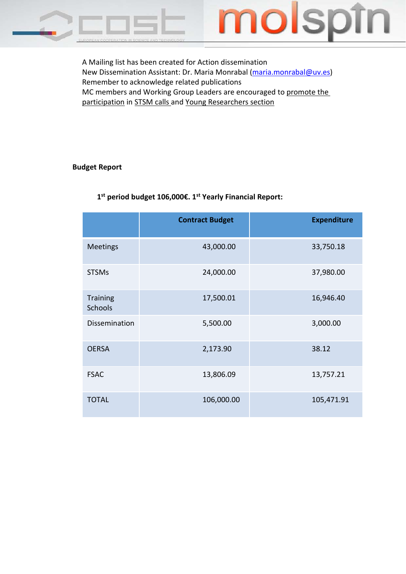



A Mailing list has been created for Action dissemination New Dissemination Assistant: Dr. Maria Monrabal [\(maria.monrabal@uv.es\)](mailto:maria.monrabal@uv.es) Remember to acknowledge related publications MC members and Working Group Leaders are encouraged to promote the participation in STSM calls and Young Researchers section

#### **Budget Report**

|                                   | <b>Contract Budget</b> | <b>Expenditure</b> |
|-----------------------------------|------------------------|--------------------|
|                                   |                        |                    |
| <b>Meetings</b>                   | 43,000.00              | 33,750.18          |
| <b>STSMs</b>                      | 24,000.00              | 37,980.00          |
| <b>Training</b><br><b>Schools</b> | 17,500.01              | 16,946.40          |
| Dissemination                     | 5,500.00               | 3,000.00           |
| <b>OERSA</b>                      | 2,173.90               | 38.12              |
| <b>FSAC</b>                       | 13,806.09              | 13,757.21          |
| <b>TOTAL</b>                      | 106,000.00             | 105,471.91         |

# **1st period budget 106,000€. 1st Yearly Financial Report:**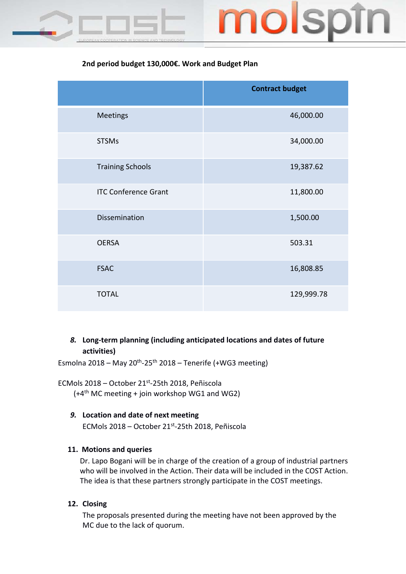

# **2nd period budget 130,000€. Work and Budget Plan**

|                             | <b>Contract budget</b> |
|-----------------------------|------------------------|
| <b>Meetings</b>             | 46,000.00              |
| <b>STSMs</b>                | 34,000.00              |
| <b>Training Schools</b>     | 19,387.62              |
| <b>ITC Conference Grant</b> | 11,800.00              |
| Dissemination               | 1,500.00               |
| <b>OERSA</b>                | 503.31                 |
| <b>FSAC</b>                 | 16,808.85              |
| <b>TOTAL</b>                | 129,999.78             |

## *8.* **Long-term planning (including anticipated locations and dates of future activities)**

Esmolna 2018 – May 20<sup>th</sup>-25<sup>th</sup> 2018 – Tenerife (+WG3 meeting)

ECMols 2018 – October 21st-25th 2018, Peñiscola  $(+4<sup>th</sup>$  MC meeting + join workshop WG1 and WG2)

### *9.* **Location and date of next meeting**

ECMols 2018 – October 21st-25th 2018, Peñiscola

### **11. Motions and queries**

Dr. Lapo Bogani will be in charge of the creation of a group of industrial partners who will be involved in the Action. Their data will be included in the COST Action. The idea is that these partners strongly participate in the COST meetings.

### **12. Closing**

The proposals presented during the meeting have not been approved by the MC due to the lack of quorum.